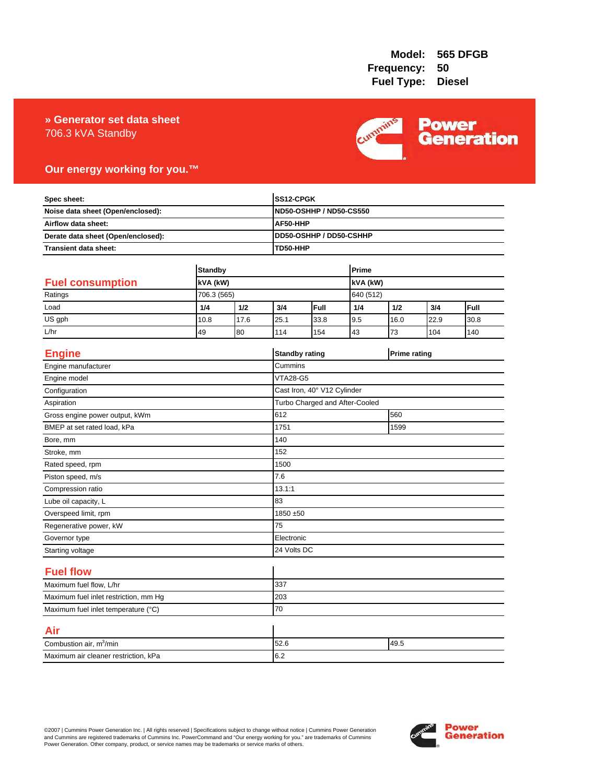## 706.3 kVA Standby **» Generator set data sheet**



# **Our energy working for you.™**

| Spec sheet:                                                                                    |                |             | SS12-CPGK<br><b>ND50-OSHHP / ND50-CS550</b><br>AF50-HHP |                             |           |                     |      |      |
|------------------------------------------------------------------------------------------------|----------------|-------------|---------------------------------------------------------|-----------------------------|-----------|---------------------|------|------|
| Noise data sheet (Open/enclosed):<br>Airflow data sheet:<br>Derate data sheet (Open/enclosed): |                |             |                                                         |                             |           |                     |      |      |
|                                                                                                |                |             |                                                         |                             |           |                     |      |      |
|                                                                                                |                |             |                                                         | DD50-OSHHP / DD50-CSHHP     |           |                     |      |      |
| <b>Transient data sheet:</b>                                                                   |                |             | TD50-HHP                                                |                             |           |                     |      |      |
|                                                                                                |                |             |                                                         |                             |           |                     |      |      |
|                                                                                                | <b>Standby</b> |             |                                                         | Prime                       |           |                     |      |      |
| <b>Fuel consumption</b>                                                                        | kVA (kW)       |             | kVA (kW)                                                |                             |           |                     |      |      |
| Ratings                                                                                        | 706.3 (565)    |             |                                                         |                             | 640 (512) |                     |      |      |
| Load                                                                                           | 1/4            | 1/2         | 3/4                                                     | Full                        | 1/4       | 1/2                 | 3/4  | Full |
| US gph                                                                                         | 10.8           | 17.6        | 25.1                                                    | 33.8                        | 9.5       | 16.0                | 22.9 | 30.8 |
| L/hr                                                                                           | 49             | 80          | 114                                                     | 154                         | 43        | 73                  | 104  | 140  |
| <b>Engine</b>                                                                                  |                |             |                                                         | <b>Standby rating</b>       |           | <b>Prime rating</b> |      |      |
| Engine manufacturer                                                                            |                |             | Cummins                                                 |                             |           |                     |      |      |
| Engine model                                                                                   |                |             | <b>VTA28-G5</b>                                         |                             |           |                     |      |      |
| Configuration                                                                                  |                |             |                                                         | Cast Iron, 40° V12 Cylinder |           |                     |      |      |
| Aspiration                                                                                     |                |             | Turbo Charged and After-Cooled                          |                             |           |                     |      |      |
| Gross engine power output, kWm                                                                 |                |             | 612                                                     |                             |           |                     | 560  |      |
| BMEP at set rated load, kPa                                                                    |                |             | 1751<br>1599                                            |                             |           |                     |      |      |
| Bore, mm                                                                                       |                |             | 140                                                     |                             |           |                     |      |      |
| Stroke, mm                                                                                     |                |             | 152                                                     |                             |           |                     |      |      |
| Rated speed, rpm                                                                               |                |             | 1500                                                    |                             |           |                     |      |      |
| Piston speed, m/s                                                                              |                |             | 7.6                                                     |                             |           |                     |      |      |
| Compression ratio                                                                              |                |             | 13.1:1                                                  |                             |           |                     |      |      |
| Lube oil capacity, L                                                                           |                |             | 83                                                      |                             |           |                     |      |      |
| Overspeed limit, rpm                                                                           |                |             |                                                         | 1850 ±50                    |           |                     |      |      |
| Regenerative power, kW                                                                         |                |             | 75                                                      |                             |           |                     |      |      |
| Governor type                                                                                  |                |             |                                                         | Electronic                  |           |                     |      |      |
| Starting voltage                                                                               |                | 24 Volts DC |                                                         |                             |           |                     |      |      |
| <b>Fuel flow</b>                                                                               |                |             |                                                         |                             |           |                     |      |      |
| Maximum fuel flow, L/hr                                                                        |                |             | 337                                                     |                             |           |                     |      |      |
| Maximum fuel inlet restriction, mm Hg                                                          |                |             | 203                                                     |                             |           |                     |      |      |
| Maximum fuel inlet temperature (°C)                                                            |                | 70          |                                                         |                             |           |                     |      |      |
| Air                                                                                            |                |             |                                                         |                             |           |                     |      |      |
| Combustion air, m <sup>3</sup> /min                                                            |                |             | 49.5<br>52.6                                            |                             |           |                     |      |      |
| Maximum air cleaner restriction, kPa                                                           |                |             | 6.2                                                     |                             |           |                     |      |      |

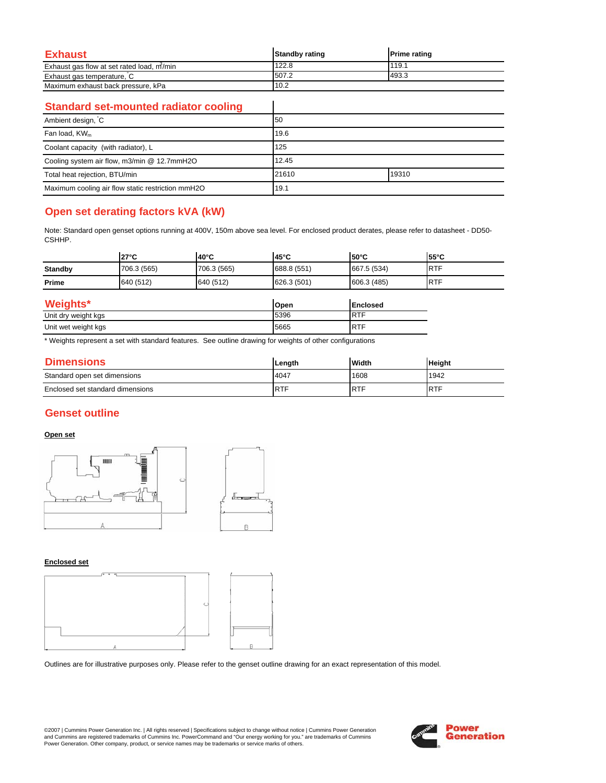| <b>Exhaust</b>                            | <b>Standby rating</b> | <b>Prime rating</b> |
|-------------------------------------------|-----------------------|---------------------|
| Exhaust gas flow at set rated load, m/min | 122.8                 | 119.1               |
| Exhaust gas temperature, C                | 507.2                 | 493.3               |
| Maximum exhaust back pressure, kPa        | 10.2                  |                     |

 $\overline{\phantom{a}}$ 

### **Standard set-mounted radiator cooling**

| Ambient design, C                                 | 50    |       |  |
|---------------------------------------------------|-------|-------|--|
| Fan load, KW <sub>m</sub>                         | 19.6  |       |  |
| Coolant capacity (with radiator), L               | 125   |       |  |
| Cooling system air flow, m3/min @ 12.7mmH2O       | 12.45 |       |  |
| Total heat rejection, BTU/min                     | 21610 | 19310 |  |
| Maximum cooling air flow static restriction mmH2O | 19.1  |       |  |

# **Open set derating factors kVA (kW)**

Note: Standard open genset options running at 400V, 150m above sea level. For enclosed product derates, please refer to datasheet - DD50- CSHHP.

|                | $27^{\circ}$ C | $40^{\circ}$ C | 45°C        | <b>50°C</b>      | 55°C        |
|----------------|----------------|----------------|-------------|------------------|-------------|
| <b>Standby</b> | 706.3 (565)    | 706.3 (565)    | 688.8 (551) | 667.5 (534)      | <b>RTF</b>  |
| Prime          | 640 (512)      | 640 (512)      | 626.3 (501) | 606.3 (485)      | <b>IRTF</b> |
| Weights*       |                |                | Open        | <b>IEnclosed</b> |             |

| --<br>5396<br>R.<br>Unit dry weight kgs<br>--<br>5665<br>RT<br>Unit wet weight kgs<br>ັ | -- | . |
|-----------------------------------------------------------------------------------------|----|---|
|                                                                                         |    |   |
|                                                                                         |    |   |

\* Weights represent a set with standard features. See outline drawing for weights of other configurations

| <b>Dimensions</b>                | Length     | Width      | <b>Height</b> |
|----------------------------------|------------|------------|---------------|
| Standard open set dimensions     | 4047       | 1608       | 1942          |
| Enclosed set standard dimensions | <b>RTF</b> | <b>RTF</b> | <b>RTF</b>    |

# **Genset outline**

#### **Open set**



#### **Enclosed set**



Outlines are for illustrative purposes only. Please refer to the genset outline drawing for an exact representation of this model.

©2007 | Cummins Power Generation Inc. | All rights reserved | Specifications subject to change without notice | Cummins Power Generation and Cummins are registered trademarks of Cummins Inc. PowerCommand and "Our energy working for you." are trademarks of Cummins<br>Power Generation. Other company, product, or service names may be trademarks or service marks o